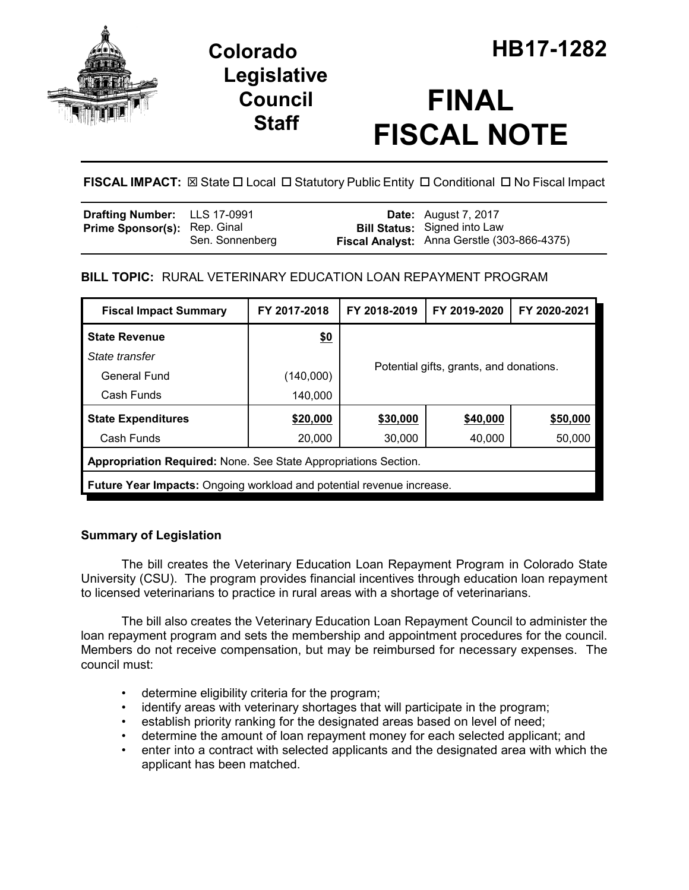

## **Legislative Council Staff**

# **FINAL FISCAL NOTE**

**FISCAL IMPACT:**  $\boxtimes$  **State □ Local □ Statutory Public Entity □ Conditional □ No Fiscal Impact** 

| Drafting Number: LLS 17-0991        |                 | <b>Date:</b> August 7, 2017                                                        |
|-------------------------------------|-----------------|------------------------------------------------------------------------------------|
| <b>Prime Sponsor(s): Rep. Ginal</b> | Sen. Sonnenberg | <b>Bill Status:</b> Signed into Law<br>Fiscal Analyst: Anna Gerstle (303-866-4375) |
|                                     |                 |                                                                                    |

## **BILL TOPIC:** RURAL VETERINARY EDUCATION LOAN REPAYMENT PROGRAM

| <b>Fiscal Impact Summary</b>                                                 | FY 2017-2018 | FY 2018-2019                            | FY 2019-2020 | FY 2020-2021 |  |  |  |
|------------------------------------------------------------------------------|--------------|-----------------------------------------|--------------|--------------|--|--|--|
| <b>State Revenue</b>                                                         | \$0          |                                         |              |              |  |  |  |
| State transfer                                                               |              |                                         |              |              |  |  |  |
| General Fund                                                                 | (140,000)    | Potential gifts, grants, and donations. |              |              |  |  |  |
| Cash Funds                                                                   | 140,000      |                                         |              |              |  |  |  |
| <b>State Expenditures</b>                                                    | \$20,000     | \$30,000                                | \$40,000     | \$50,000     |  |  |  |
| Cash Funds                                                                   | 20,000       | 30,000                                  | 40,000       | 50,000       |  |  |  |
| Appropriation Required: None. See State Appropriations Section.              |              |                                         |              |              |  |  |  |
| <b>Future Year Impacts:</b> Ongoing workload and potential revenue increase. |              |                                         |              |              |  |  |  |

### **Summary of Legislation**

The bill creates the Veterinary Education Loan Repayment Program in Colorado State University (CSU). The program provides financial incentives through education loan repayment to licensed veterinarians to practice in rural areas with a shortage of veterinarians.

The bill also creates the Veterinary Education Loan Repayment Council to administer the loan repayment program and sets the membership and appointment procedures for the council. Members do not receive compensation, but may be reimbursed for necessary expenses. The council must:

- determine eligibility criteria for the program;
- identify areas with veterinary shortages that will participate in the program;
- establish priority ranking for the designated areas based on level of need;
- determine the amount of loan repayment money for each selected applicant; and
- enter into a contract with selected applicants and the designated area with which the applicant has been matched.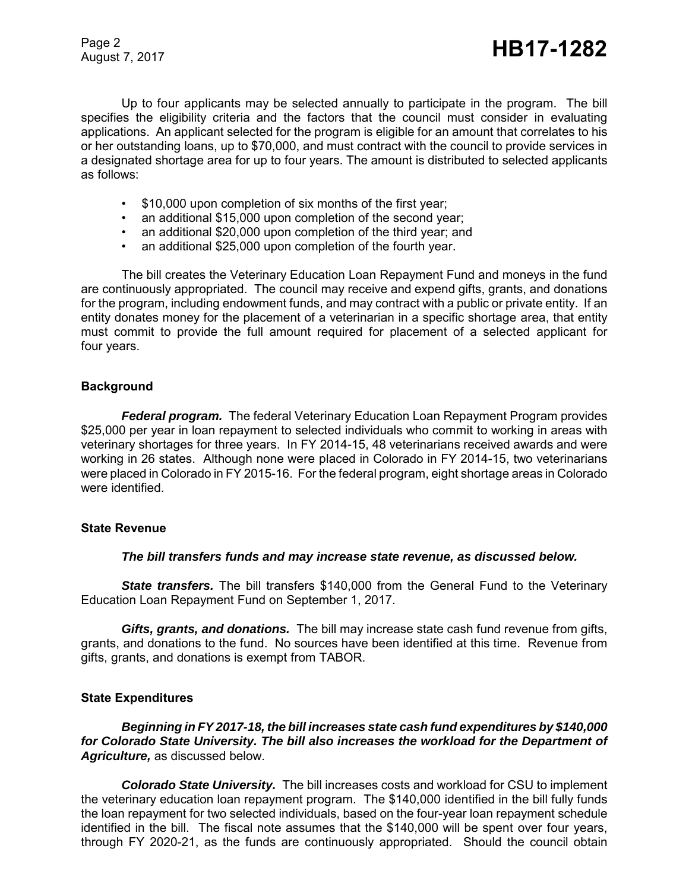Page 2

Up to four applicants may be selected annually to participate in the program. The bill specifies the eligibility criteria and the factors that the council must consider in evaluating applications. An applicant selected for the program is eligible for an amount that correlates to his or her outstanding loans, up to \$70,000, and must contract with the council to provide services in a designated shortage area for up to four years. The amount is distributed to selected applicants as follows:

- \$10,000 upon completion of six months of the first year;
- an additional \$15,000 upon completion of the second year;
- an additional \$20,000 upon completion of the third year; and
- an additional \$25,000 upon completion of the fourth year.

The bill creates the Veterinary Education Loan Repayment Fund and moneys in the fund are continuously appropriated. The council may receive and expend gifts, grants, and donations for the program, including endowment funds, and may contract with a public or private entity. If an entity donates money for the placement of a veterinarian in a specific shortage area, that entity must commit to provide the full amount required for placement of a selected applicant for four years.

#### **Background**

*Federal program.* The federal Veterinary Education Loan Repayment Program provides \$25,000 per year in loan repayment to selected individuals who commit to working in areas with veterinary shortages for three years. In FY 2014-15, 48 veterinarians received awards and were working in 26 states. Although none were placed in Colorado in FY 2014-15, two veterinarians were placed in Colorado in FY 2015-16. For the federal program, eight shortage areas in Colorado were identified.

#### **State Revenue**

#### *The bill transfers funds and may increase state revenue, as discussed below.*

**State transfers.** The bill transfers \$140,000 from the General Fund to the Veterinary Education Loan Repayment Fund on September 1, 2017.

*Gifts, grants, and donations.* The bill may increase state cash fund revenue from gifts, grants, and donations to the fund. No sources have been identified at this time. Revenue from gifts, grants, and donations is exempt from TABOR.

#### **State Expenditures**

#### *Beginning in FY 2017-18, the bill increases state cash fund expenditures by \$140,000 for Colorado State University. The bill also increases the workload for the Department of Agriculture,* as discussed below.

*Colorado State University.* The bill increases costs and workload for CSU to implement the veterinary education loan repayment program. The \$140,000 identified in the bill fully funds the loan repayment for two selected individuals, based on the four-year loan repayment schedule identified in the bill. The fiscal note assumes that the \$140,000 will be spent over four years, through FY 2020-21, as the funds are continuously appropriated. Should the council obtain